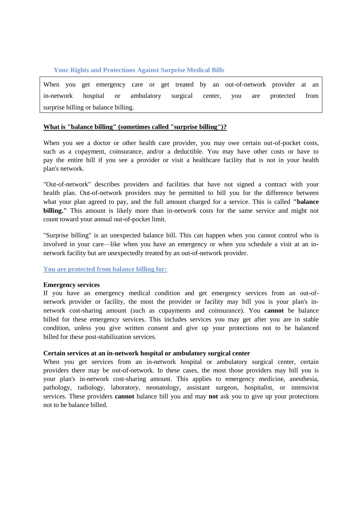## **Your Rights and Protections Against Surprise Medical Bills**

When you get emergency care or get treated by an out-of-network provider at an in-network hospital or ambulatory surgical center, you are protected from surprise billing or balance billing.

### **What is "balance billing" (sometimes called "surprise billing")?**

When you see a doctor or other health care provider, you may owe certain out-of-pocket costs, such as a copayment, coinsurance, and/or a deductible. You may have other costs or have to pay the entire bill if you see a provider or visit a healthcare facility that is not in your health plan's network.

"Out-of-network" describes providers and facilities that have not signed a contract with your health plan. Out-of-network providers may be permitted to bill you for the difference between what your plan agreed to pay, and the full amount charged for a service. This is called **"balance billing."** This amount is likely more than in-network costs for the same service and might not count toward your annual out-of-pocket limit.

"Surprise billing" is an unexpected balance bill. This can happen when you cannot control who is involved in your care—like when you have an emergency or when you schedule a visit at an innetwork facility but are unexpectedly treated by an out-of-network provider.

#### **You are protected from balance billing for:**

#### **Emergency services**

If you have an emergency medical condition and get emergency services from an out-ofnetwork provider or facility, the most the provider or facility may bill you is your plan's innetwork cost-sharing amount (such as copayments and coinsurance). You **cannot** be balance billed for these emergency services. This includes services you may get after you are in stable condition, unless you give written consent and give up your protections not to be balanced billed for these post-stabilization services.

#### **Certain services at an in-network hospital or ambulatory surgical center**

When you get services from an in-network hospital or ambulatory surgical center, certain providers there may be out-of-network. In these cases, the most those providers may bill you is your plan's in-network cost-sharing amount. This applies to emergency medicine, anesthesia, pathology, radiology, laboratory, neonatology, assistant surgeon, hospitalist, or intensivist services. These providers **cannot** balance bill you and may **not** ask you to give up your protections not to be balance billed.